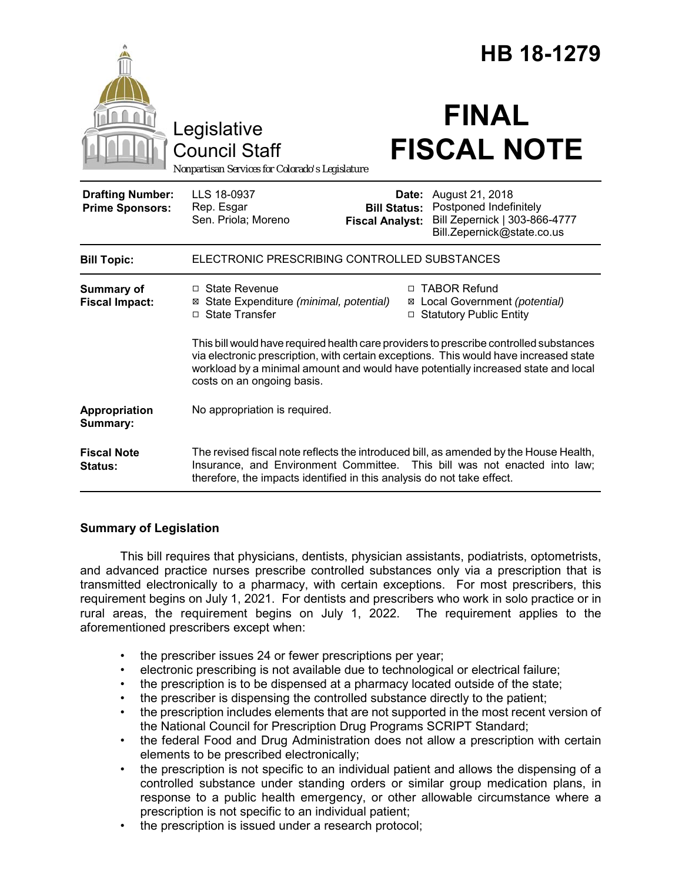|                                                   |                                                                                                                                                                                                                                                                                                    | HB 18-1279                                    |                                                                                                                       |
|---------------------------------------------------|----------------------------------------------------------------------------------------------------------------------------------------------------------------------------------------------------------------------------------------------------------------------------------------------------|-----------------------------------------------|-----------------------------------------------------------------------------------------------------------------------|
|                                                   | Legislative<br><b>Council Staff</b><br>Nonpartisan Services for Colorado's Legislature                                                                                                                                                                                                             |                                               | <b>FINAL</b><br><b>FISCAL NOTE</b>                                                                                    |
| <b>Drafting Number:</b><br><b>Prime Sponsors:</b> | LLS 18-0937<br>Rep. Esgar<br>Sen. Priola; Moreno                                                                                                                                                                                                                                                   | <b>Bill Status:</b><br><b>Fiscal Analyst:</b> | <b>Date:</b> August 21, 2018<br>Postponed Indefinitely<br>Bill Zepernick   303-866-4777<br>Bill.Zepernick@state.co.us |
| <b>Bill Topic:</b>                                | ELECTRONIC PRESCRIBING CONTROLLED SUBSTANCES                                                                                                                                                                                                                                                       |                                               |                                                                                                                       |
| Summary of<br><b>Fiscal Impact:</b>               | $\Box$ State Revenue<br>⊠ State Expenditure (minimal, potential)<br>$\Box$ State Transfer                                                                                                                                                                                                          | ⊠                                             | □ TABOR Refund<br>Local Government (potential)<br>□ Statutory Public Entity                                           |
|                                                   | This bill would have required health care providers to prescribe controlled substances<br>via electronic prescription, with certain exceptions. This would have increased state<br>workload by a minimal amount and would have potentially increased state and local<br>costs on an ongoing basis. |                                               |                                                                                                                       |
| Appropriation<br>Summary:                         | No appropriation is required.                                                                                                                                                                                                                                                                      |                                               |                                                                                                                       |
| <b>Fiscal Note</b><br><b>Status:</b>              | The revised fiscal note reflects the introduced bill, as amended by the House Health,<br>Insurance, and Environment Committee. This bill was not enacted into law;<br>therefore, the impacts identified in this analysis do not take effect.                                                       |                                               |                                                                                                                       |

# **Summary of Legislation**

This bill requires that physicians, dentists, physician assistants, podiatrists, optometrists, and advanced practice nurses prescribe controlled substances only via a prescription that is transmitted electronically to a pharmacy, with certain exceptions. For most prescribers, this requirement begins on July 1, 2021. For dentists and prescribers who work in solo practice or in rural areas, the requirement begins on July 1, 2022. The requirement applies to the aforementioned prescribers except when:

- the prescriber issues 24 or fewer prescriptions per year;
- electronic prescribing is not available due to technological or electrical failure;
- the prescription is to be dispensed at a pharmacy located outside of the state;
- the prescriber is dispensing the controlled substance directly to the patient;
- the prescription includes elements that are not supported in the most recent version of the National Council for Prescription Drug Programs SCRIPT Standard;
- the federal Food and Drug Administration does not allow a prescription with certain elements to be prescribed electronically;
- the prescription is not specific to an individual patient and allows the dispensing of a controlled substance under standing orders or similar group medication plans, in response to a public health emergency, or other allowable circumstance where a prescription is not specific to an individual patient;
- the prescription is issued under a research protocol;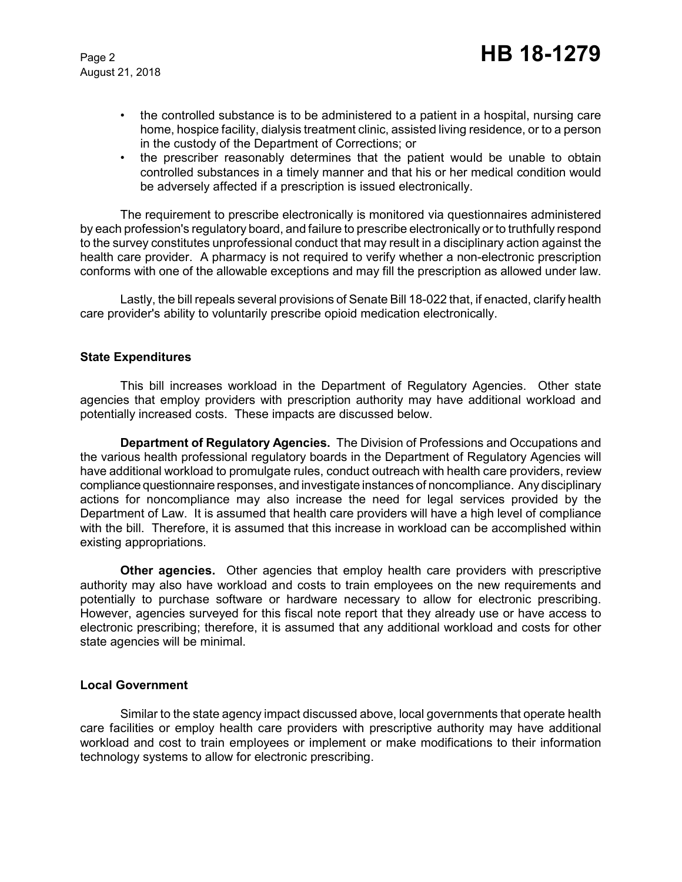August 21, 2018

- the controlled substance is to be administered to a patient in a hospital, nursing care home, hospice facility, dialysis treatment clinic, assisted living residence, or to a person in the custody of the Department of Corrections; or
- the prescriber reasonably determines that the patient would be unable to obtain controlled substances in a timely manner and that his or her medical condition would be adversely affected if a prescription is issued electronically.

The requirement to prescribe electronically is monitored via questionnaires administered by each profession's regulatory board, and failure to prescribe electronically or to truthfully respond to the survey constitutes unprofessional conduct that may result in a disciplinary action against the health care provider. A pharmacy is not required to verify whether a non-electronic prescription conforms with one of the allowable exceptions and may fill the prescription as allowed under law.

Lastly, the bill repeals several provisions of Senate Bill 18-022 that, if enacted, clarify health care provider's ability to voluntarily prescribe opioid medication electronically.

### **State Expenditures**

This bill increases workload in the Department of Regulatory Agencies. Other state agencies that employ providers with prescription authority may have additional workload and potentially increased costs. These impacts are discussed below.

**Department of Regulatory Agencies.** The Division of Professions and Occupations and the various health professional regulatory boards in the Department of Regulatory Agencies will have additional workload to promulgate rules, conduct outreach with health care providers, review compliance questionnaire responses, and investigate instances of noncompliance. Any disciplinary actions for noncompliance may also increase the need for legal services provided by the Department of Law. It is assumed that health care providers will have a high level of compliance with the bill. Therefore, it is assumed that this increase in workload can be accomplished within existing appropriations.

**Other agencies.** Other agencies that employ health care providers with prescriptive authority may also have workload and costs to train employees on the new requirements and potentially to purchase software or hardware necessary to allow for electronic prescribing. However, agencies surveyed for this fiscal note report that they already use or have access to electronic prescribing; therefore, it is assumed that any additional workload and costs for other state agencies will be minimal.

#### **Local Government**

Similar to the state agency impact discussed above, local governments that operate health care facilities or employ health care providers with prescriptive authority may have additional workload and cost to train employees or implement or make modifications to their information technology systems to allow for electronic prescribing.